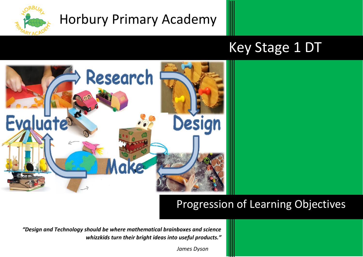

# Horbury Primary Academy

# Key Stage 1 DT



## Progression of Learning Objectives

*"Design and Technology should be where mathematical brainboxes and science whizzkids turn their bright ideas into useful products."*

 *James Dyson*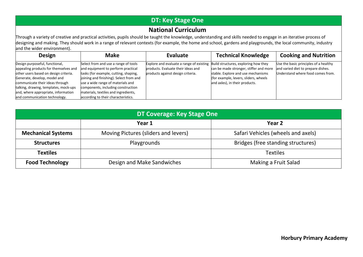### **DT: Key Stage One**

#### **National Curriculum**

Through a variety of creative and practical activities, pupils should be taught the knowledge, understanding and skills needed to engage in an iterative process of designing and making. They should work in a range of relevant contexts (for example, the home and school, gardens and playgrounds, the local community, industry and the wider environment).

| <b>Design</b>                                                                                                                                                                                                                                                                                        | <b>Make</b>                                                                                                                                                                                                                                                                                                              | Evaluate                                                                                                                                                 | <b>Technical Knowledge</b>                                                                                                                              | <b>Cooking and Nutrition</b>                                                                                     |
|------------------------------------------------------------------------------------------------------------------------------------------------------------------------------------------------------------------------------------------------------------------------------------------------------|--------------------------------------------------------------------------------------------------------------------------------------------------------------------------------------------------------------------------------------------------------------------------------------------------------------------------|----------------------------------------------------------------------------------------------------------------------------------------------------------|---------------------------------------------------------------------------------------------------------------------------------------------------------|------------------------------------------------------------------------------------------------------------------|
| Design purposeful, functional,<br>appealing products for themselves and<br>other users based on design criteria.<br>Generate, develop, model and<br>communicate their ideas through<br>talking, drawing, templates, mock-ups<br>and, where appropriate, information<br>and communication technology. | Select from and use a range of tools<br>and equipment to perform practical<br>tasks (for example, cutting, shaping,<br>joining and finishing). Select from and<br>use a wide range of materials and<br>components, including construction<br>materials, textiles and ingredients,<br>according to their characteristics. | Explore and evaluate a range of existing Build structures, exploring how they<br>products. Evaluate their ideas and<br>products against design criteria. | can be made stronger, stiffer and more<br>stable. Explore and use mechanisms<br>(for example, levers, sliders, wheels<br>and axles), in their products. | Use the basic principles of a healthy<br>and varied diet to prepare dishes.<br>Understand where food comes from. |

| DT Coverage: Key Stage One |                                      |                                    |  |  |  |
|----------------------------|--------------------------------------|------------------------------------|--|--|--|
|                            | Year 1                               | Year <sub>2</sub>                  |  |  |  |
| <b>Mechanical Systems</b>  | Moving Pictures (sliders and levers) | Safari Vehicles (wheels and axels) |  |  |  |
| <b>Structures</b>          | Playgrounds                          | Bridges (free standing structures) |  |  |  |
| <b>Textiles</b>            |                                      | <b>Textiles</b>                    |  |  |  |
| <b>Food Technology</b>     | Design and Make Sandwiches           | Making a Fruit Salad               |  |  |  |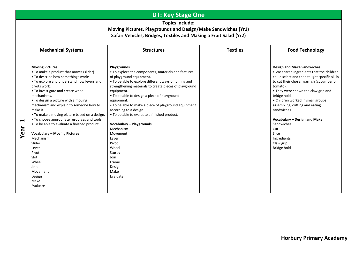### **DT: Key Stage One**

**Topics Include:** 

#### **Moving Pictures, Playgrounds and Design/Make Sandwiches (Yr1) Safari Vehicles, Bridges, Textiles and Making a Fruit Salad (Yr2)**

|                              | <b>Mechanical Systems</b>                                                                                                                                                                                                                                                                                                                                                                                                                                                                                                                                                                                                     | <b>Structures</b>                                                                                                                                                                                                                                                                                                                                                                                                                                                                                                                                                        | <b>Textiles</b> | <b>Food Technology</b>                                                                                                                                                                                                                                                                                                                                                                                                                       |
|------------------------------|-------------------------------------------------------------------------------------------------------------------------------------------------------------------------------------------------------------------------------------------------------------------------------------------------------------------------------------------------------------------------------------------------------------------------------------------------------------------------------------------------------------------------------------------------------------------------------------------------------------------------------|--------------------------------------------------------------------------------------------------------------------------------------------------------------------------------------------------------------------------------------------------------------------------------------------------------------------------------------------------------------------------------------------------------------------------------------------------------------------------------------------------------------------------------------------------------------------------|-----------------|----------------------------------------------------------------------------------------------------------------------------------------------------------------------------------------------------------------------------------------------------------------------------------------------------------------------------------------------------------------------------------------------------------------------------------------------|
|                              |                                                                                                                                                                                                                                                                                                                                                                                                                                                                                                                                                                                                                               |                                                                                                                                                                                                                                                                                                                                                                                                                                                                                                                                                                          |                 |                                                                                                                                                                                                                                                                                                                                                                                                                                              |
| $\blacktriangleleft$<br>Year | <b>Moving Pictures</b><br>• To make a product that moves (slider).<br>. To describe how somethings works.<br>. To explore and understand how levers and<br>pivots work.<br>• To investigate and create wheel<br>mechanisms.<br>• To design a picture with a moving<br>mechanism and explain to someone how to<br>make it.<br>• To make a moving picture based on a design.<br>• To choose appropriate resources and tools.<br>• To be able to evaluate a finished product.<br><b>Vocabulary - Moving Pictures</b><br>Mechanism<br>Slider<br>Lever<br>Pivot<br>Slot<br>Wheel<br>Join<br>Movement<br>Design<br>Make<br>Evaluate | Playgrounds<br>• To explore the components, materials and features<br>of playground equipment.<br>• To be able to explore different ways of joining and<br>strengthening materials to create pieces of playground<br>equipment.<br>• To be able to design a piece of playground<br>equipment.<br>• To be able to make a piece of playground equipment<br>according to a design.<br>. To be able to evaluate a finished product.<br>Vocabulary - Playgrounds<br>Mechanism<br>Movement<br>Lever<br>Pivot<br>Wheel<br>Sturdy<br>Join<br>Frame<br>Design<br>Make<br>Evaluate |                 | <b>Design and Make Sandwiches</b><br>• We shared ingredients that the children<br>could select and then taught specific skills<br>to cut their chosen garnish (cucumber or<br>tomato).<br>• They were shown the claw grip and<br>bridge hold.<br>• Children worked in small groups<br>assembling, cutting and eating<br>sandwiches.<br>Vocabulary - Design and Make<br>Sandwiches<br>Cut<br>Slice<br>Ingredients<br>Claw grip<br>Bridge hold |